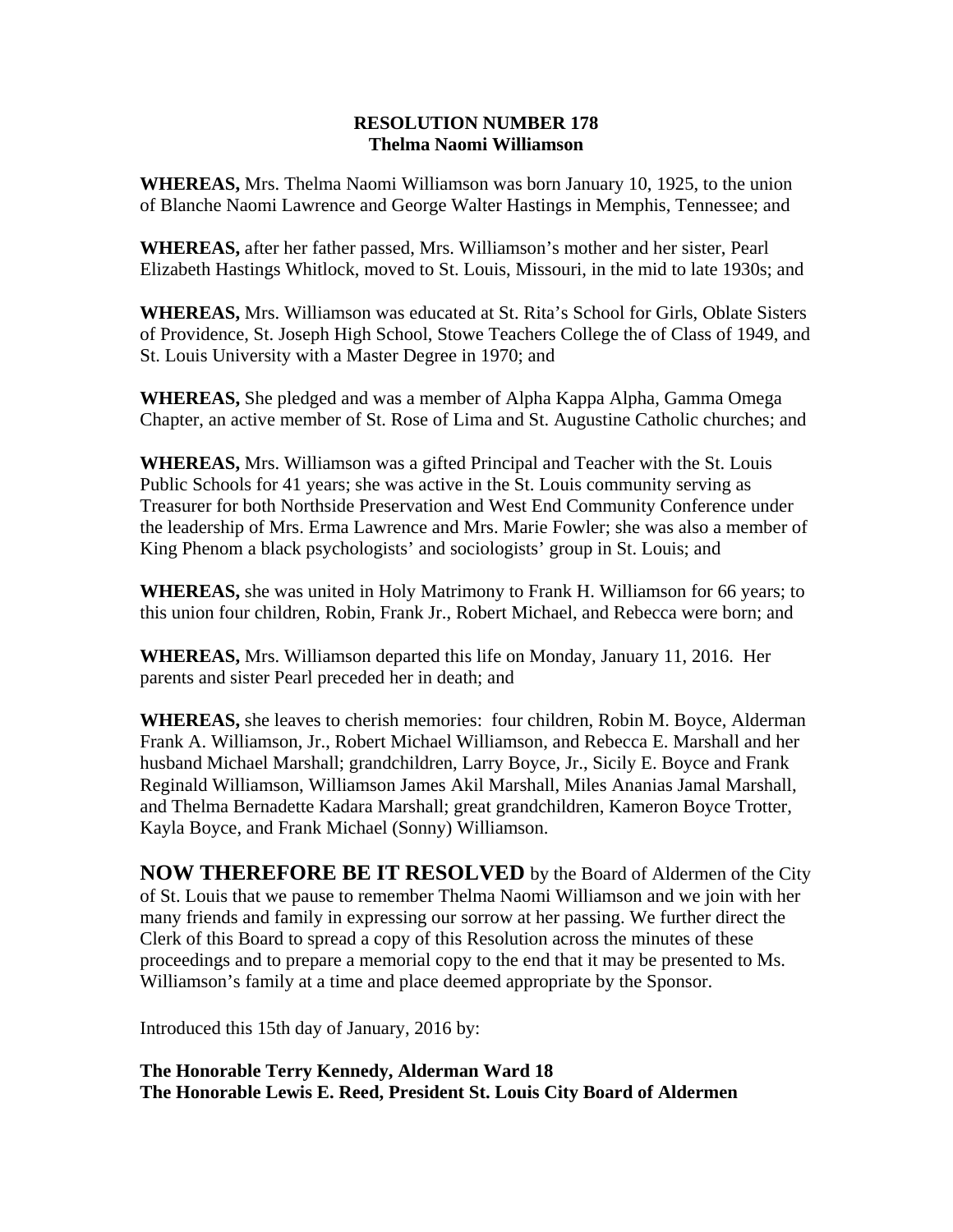## **RESOLUTION NUMBER 178 Thelma Naomi Williamson**

**WHEREAS,** Mrs. Thelma Naomi Williamson was born January 10, 1925, to the union of Blanche Naomi Lawrence and George Walter Hastings in Memphis, Tennessee; and

**WHEREAS,** after her father passed, Mrs. Williamson's mother and her sister, Pearl Elizabeth Hastings Whitlock, moved to St. Louis, Missouri, in the mid to late 1930s; and

**WHEREAS,** Mrs. Williamson was educated at St. Rita's School for Girls, Oblate Sisters of Providence, St. Joseph High School, Stowe Teachers College the of Class of 1949, and St. Louis University with a Master Degree in 1970; and

**WHEREAS,** She pledged and was a member of Alpha Kappa Alpha, Gamma Omega Chapter, an active member of St. Rose of Lima and St. Augustine Catholic churches; and

**WHEREAS,** Mrs. Williamson was a gifted Principal and Teacher with the St. Louis Public Schools for 41 years; she was active in the St. Louis community serving as Treasurer for both Northside Preservation and West End Community Conference under the leadership of Mrs. Erma Lawrence and Mrs. Marie Fowler; she was also a member of King Phenom a black psychologists' and sociologists' group in St. Louis; and

**WHEREAS,** she was united in Holy Matrimony to Frank H. Williamson for 66 years; to this union four children, Robin, Frank Jr., Robert Michael, and Rebecca were born; and

**WHEREAS,** Mrs. Williamson departed this life on Monday, January 11, 2016. Her parents and sister Pearl preceded her in death; and

**WHEREAS,** she leaves to cherish memories: four children, Robin M. Boyce, Alderman Frank A. Williamson, Jr., Robert Michael Williamson, and Rebecca E. Marshall and her husband Michael Marshall; grandchildren, Larry Boyce, Jr., Sicily E. Boyce and Frank Reginald Williamson, Williamson James Akil Marshall, Miles Ananias Jamal Marshall, and Thelma Bernadette Kadara Marshall; great grandchildren, Kameron Boyce Trotter, Kayla Boyce, and Frank Michael (Sonny) Williamson.

**NOW THEREFORE BE IT RESOLVED** by the Board of Aldermen of the City of St. Louis that we pause to remember Thelma Naomi Williamson and we join with her many friends and family in expressing our sorrow at her passing. We further direct the Clerk of this Board to spread a copy of this Resolution across the minutes of these proceedings and to prepare a memorial copy to the end that it may be presented to Ms. Williamson's family at a time and place deemed appropriate by the Sponsor.

Introduced this 15th day of January, 2016 by:

**The Honorable Terry Kennedy, Alderman Ward 18 The Honorable Lewis E. Reed, President St. Louis City Board of Aldermen**